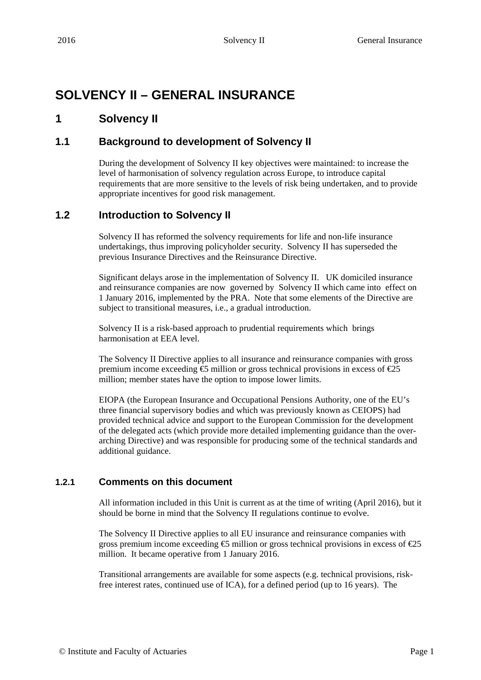# **SOLVENCY II – GENERAL INSURANCE**

# **1 Solvency II**

# **1.1 Background to development of Solvency II**

During the development of Solvency II key objectives were maintained: to increase the level of harmonisation of solvency regulation across Europe, to introduce capital requirements that are more sensitive to the levels of risk being undertaken, and to provide appropriate incentives for good risk management.

# **1.2 Introduction to Solvency II**

Solvency II has reformed the solvency requirements for life and non-life insurance undertakings, thus improving policyholder security. Solvency II has superseded the previous Insurance Directives and the Reinsurance Directive.

Significant delays arose in the implementation of Solvency II. UK domiciled insurance and reinsurance companies are now governed by Solvency II which came into effect on 1 January 2016, implemented by the PRA. Note that some elements of the Directive are subject to transitional measures, i.e., a gradual introduction.

Solvency II is a risk-based approach to prudential requirements which brings harmonisation at EEA level.

The Solvency II Directive applies to all insurance and reinsurance companies with gross premium income exceeding  $\epsilon$  million or gross technical provisions in excess of  $\epsilon$ 25 million; member states have the option to impose lower limits.

EIOPA (the European Insurance and Occupational Pensions Authority, one of the EU's three financial supervisory bodies and which was previously known as CEIOPS) had provided technical advice and support to the European Commission for the development of the delegated acts (which provide more detailed implementing guidance than the overarching Directive) and was responsible for producing some of the technical standards and additional guidance.

# **1.2.1 Comments on this document**

All information included in this Unit is current as at the time of writing (April 2016), but it should be borne in mind that the Solvency II regulations continue to evolve.

The Solvency II Directive applies to all EU insurance and reinsurance companies with gross premium income exceeding  $\epsilon$  million or gross technical provisions in excess of  $\epsilon$ 25 million. It became operative from 1 January 2016.

Transitional arrangements are available for some aspects (e.g. technical provisions, riskfree interest rates, continued use of ICA), for a defined period (up to 16 years). The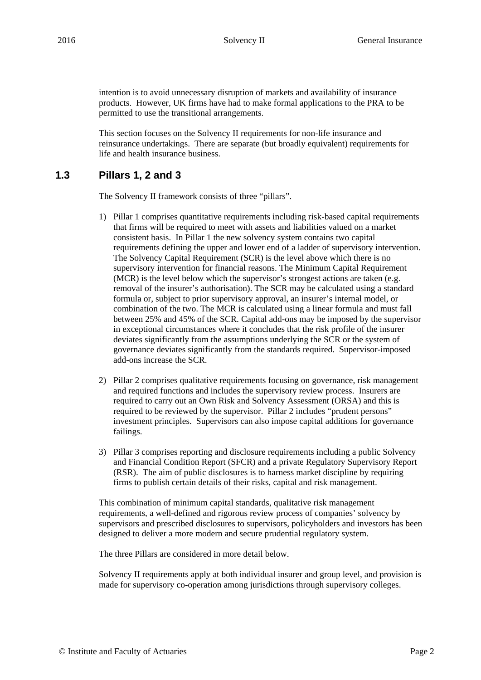intention is to avoid unnecessary disruption of markets and availability of insurance products. However, UK firms have had to make formal applications to the PRA to be permitted to use the transitional arrangements.

This section focuses on the Solvency II requirements for non-life insurance and reinsurance undertakings. There are separate (but broadly equivalent) requirements for life and health insurance business.

# **1.3 Pillars 1, 2 and 3**

The Solvency II framework consists of three "pillars".

- 1) Pillar 1 comprises quantitative requirements including risk-based capital requirements that firms will be required to meet with assets and liabilities valued on a market consistent basis. In Pillar 1 the new solvency system contains two capital requirements defining the upper and lower end of a ladder of supervisory intervention. The Solvency Capital Requirement (SCR) is the level above which there is no supervisory intervention for financial reasons. The Minimum Capital Requirement (MCR) is the level below which the supervisor's strongest actions are taken (e.g. removal of the insurer's authorisation). The SCR may be calculated using a standard formula or, subject to prior supervisory approval, an insurer's internal model, or combination of the two. The MCR is calculated using a linear formula and must fall between 25% and 45% of the SCR. Capital add-ons may be imposed by the supervisor in exceptional circumstances where it concludes that the risk profile of the insurer deviates significantly from the assumptions underlying the SCR or the system of governance deviates significantly from the standards required. Supervisor-imposed add-ons increase the SCR.
- 2) Pillar 2 comprises qualitative requirements focusing on governance, risk management and required functions and includes the supervisory review process. Insurers are required to carry out an Own Risk and Solvency Assessment (ORSA) and this is required to be reviewed by the supervisor. Pillar 2 includes "prudent persons" investment principles. Supervisors can also impose capital additions for governance failings.
- 3) Pillar 3 comprises reporting and disclosure requirements including a public Solvency and Financial Condition Report (SFCR) and a private Regulatory Supervisory Report (RSR). The aim of public disclosures is to harness market discipline by requiring firms to publish certain details of their risks, capital and risk management.

This combination of minimum capital standards, qualitative risk management requirements, a well-defined and rigorous review process of companies' solvency by supervisors and prescribed disclosures to supervisors, policyholders and investors has been designed to deliver a more modern and secure prudential regulatory system.

The three Pillars are considered in more detail below.

Solvency II requirements apply at both individual insurer and group level, and provision is made for supervisory co-operation among jurisdictions through supervisory colleges.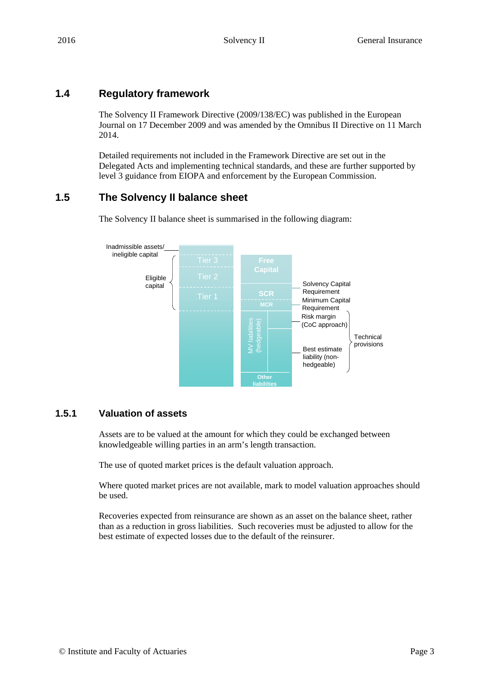# **1.4 Regulatory framework**

The Solvency II Framework Directive (2009/138/EC) was published in the European Journal on 17 December 2009 and was amended by the Omnibus II Directive on 11 March 2014.

Detailed requirements not included in the Framework Directive are set out in the Delegated Acts and implementing technical standards, and these are further supported by level 3 guidance from EIOPA and enforcement by the European Commission.

# **1.5 The Solvency II balance sheet**

**SCR MCR** MV liabilities (hedgeable) Best estimate liability (nonhedgeable) Risk margin (CoC approach) Minimum Capital Requirement Solvency Capital Requirement **Other liabilities** Eligible capital **Tier** 2 Inadmissible assets/ ineligible capital **Technical** provisions

The Solvency II balance sheet is summarised in the following diagram:

# **1.5.1 Valuation of assets**

Assets are to be valued at the amount for which they could be exchanged between knowledgeable willing parties in an arm's length transaction.

The use of quoted market prices is the default valuation approach.

Where quoted market prices are not available, mark to model valuation approaches should be used.

Recoveries expected from reinsurance are shown as an asset on the balance sheet, rather than as a reduction in gross liabilities. Such recoveries must be adjusted to allow for the best estimate of expected losses due to the default of the reinsurer.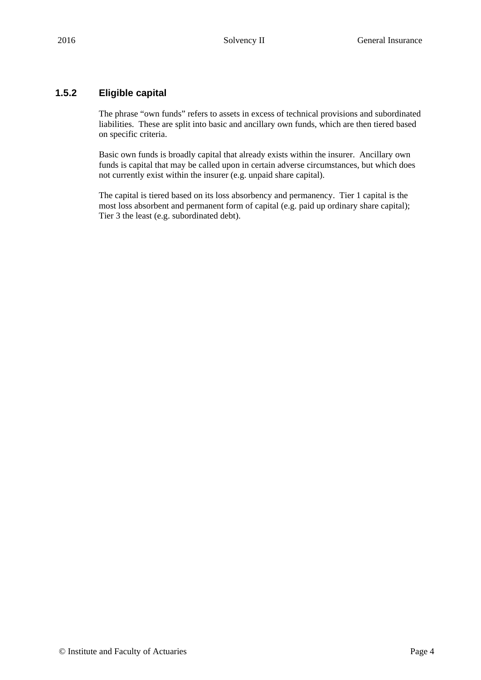### **1.5.2 Eligible capital**

The phrase "own funds" refers to assets in excess of technical provisions and subordinated liabilities. These are split into basic and ancillary own funds, which are then tiered based on specific criteria.

Basic own funds is broadly capital that already exists within the insurer. Ancillary own funds is capital that may be called upon in certain adverse circumstances, but which does not currently exist within the insurer (e.g. unpaid share capital).

The capital is tiered based on its loss absorbency and permanency. Tier 1 capital is the most loss absorbent and permanent form of capital (e.g. paid up ordinary share capital); Tier 3 the least (e.g. subordinated debt).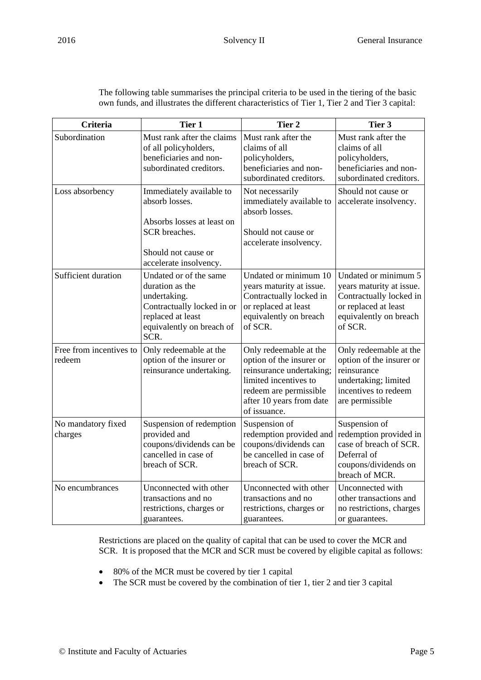| Criteria                          | Tier 1                                                                                                                                            | Tier 2                                                                                                                                                                        | Tier 3                                                                                                                                   |
|-----------------------------------|---------------------------------------------------------------------------------------------------------------------------------------------------|-------------------------------------------------------------------------------------------------------------------------------------------------------------------------------|------------------------------------------------------------------------------------------------------------------------------------------|
| Subordination                     | Must rank after the claims<br>of all policyholders,<br>beneficiaries and non-<br>subordinated creditors.                                          | Must rank after the<br>claims of all<br>policyholders,<br>beneficiaries and non-<br>subordinated creditors.                                                                   | Must rank after the<br>claims of all<br>policyholders,<br>beneficiaries and non-<br>subordinated creditors.                              |
| Loss absorbency                   | Immediately available to<br>absorb losses.<br>Absorbs losses at least on<br>SCR breaches.<br>Should not cause or<br>accelerate insolvency.        | Not necessarily<br>immediately available to<br>absorb losses.<br>Should not cause or<br>accelerate insolvency.                                                                | Should not cause or<br>accelerate insolvency.                                                                                            |
| Sufficient duration               | Undated or of the same<br>duration as the<br>undertaking.<br>Contractually locked in or<br>replaced at least<br>equivalently on breach of<br>SCR. | Undated or minimum 10<br>years maturity at issue.<br>Contractually locked in<br>or replaced at least<br>equivalently on breach<br>of SCR.                                     | Undated or minimum 5<br>years maturity at issue.<br>Contractually locked in<br>or replaced at least<br>equivalently on breach<br>of SCR. |
| Free from incentives to<br>redeem | Only redeemable at the<br>option of the insurer or<br>reinsurance undertaking.                                                                    | Only redeemable at the<br>option of the insurer or<br>reinsurance undertaking;<br>limited incentives to<br>redeem are permissible<br>after 10 years from date<br>of issuance. | Only redeemable at the<br>option of the insurer or<br>reinsurance<br>undertaking; limited<br>incentives to redeem<br>are permissible     |
| No mandatory fixed<br>charges     | Suspension of redemption<br>provided and<br>coupons/dividends can be<br>cancelled in case of<br>breach of SCR.                                    | Suspension of<br>redemption provided and<br>coupons/dividends can<br>be cancelled in case of<br>breach of SCR.                                                                | Suspension of<br>redemption provided in<br>case of breach of SCR.<br>Deferral of<br>coupons/dividends on<br>breach of MCR.               |
| No encumbrances                   | Unconnected with other<br>transactions and no<br>restrictions, charges or<br>guarantees.                                                          | Unconnected with other<br>transactions and no<br>restrictions, charges or<br>guarantees.                                                                                      | Unconnected with<br>other transactions and<br>no restrictions, charges<br>or guarantees.                                                 |

The following table summarises the principal criteria to be used in the tiering of the basic own funds, and illustrates the different characteristics of Tier 1, Tier 2 and Tier 3 capital:

Restrictions are placed on the quality of capital that can be used to cover the MCR and SCR. It is proposed that the MCR and SCR must be covered by eligible capital as follows:

- 80% of the MCR must be covered by tier 1 capital
- The SCR must be covered by the combination of tier 1, tier 2 and tier 3 capital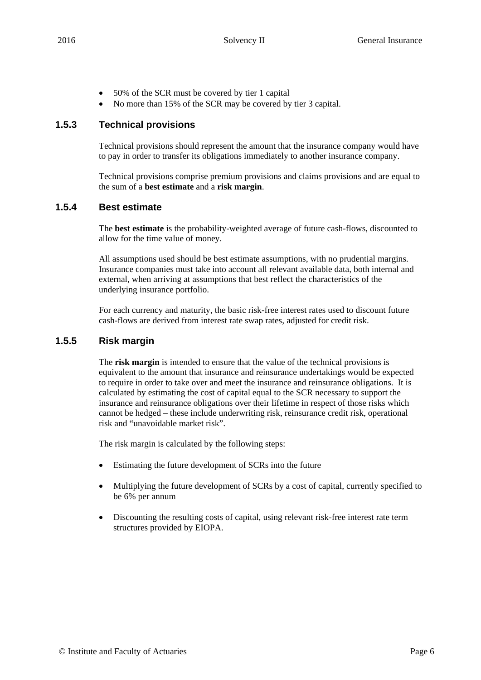- 50% of the SCR must be covered by tier 1 capital
- No more than 15% of the SCR may be covered by tier 3 capital.

### **1.5.3 Technical provisions**

Technical provisions should represent the amount that the insurance company would have to pay in order to transfer its obligations immediately to another insurance company.

Technical provisions comprise premium provisions and claims provisions and are equal to the sum of a **best estimate** and a **risk margin**.

#### **1.5.4 Best estimate**

The **best estimate** is the probability-weighted average of future cash-flows, discounted to allow for the time value of money.

All assumptions used should be best estimate assumptions, with no prudential margins. Insurance companies must take into account all relevant available data, both internal and external, when arriving at assumptions that best reflect the characteristics of the underlying insurance portfolio.

For each currency and maturity, the basic risk-free interest rates used to discount future cash-flows are derived from interest rate swap rates, adjusted for credit risk.

#### **1.5.5 Risk margin**

The **risk margin** is intended to ensure that the value of the technical provisions is equivalent to the amount that insurance and reinsurance undertakings would be expected to require in order to take over and meet the insurance and reinsurance obligations. It is calculated by estimating the cost of capital equal to the SCR necessary to support the insurance and reinsurance obligations over their lifetime in respect of those risks which cannot be hedged – these include underwriting risk, reinsurance credit risk, operational risk and "unavoidable market risk".

The risk margin is calculated by the following steps:

- Estimating the future development of SCRs into the future
- Multiplying the future development of SCRs by a cost of capital, currently specified to be 6% per annum
- Discounting the resulting costs of capital, using relevant risk-free interest rate term structures provided by EIOPA.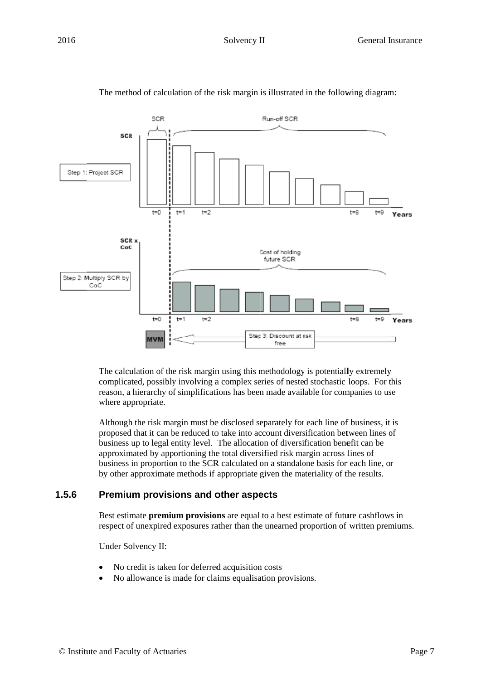

#### The method of calculation of the risk margin is illustrated in the following diagram:

The calculation of the risk margin using this methodology is potentially extremely complicated, possibly involving a complex series of nested stochastic loops. For this reason, a hierarchy of simplifications has been made available for companies to use where appropriate.

Although the risk margin must be disclosed separately for each line of business, it is proposed that it can be reduced to take into account diversification between lines of business up to legal entity level. The allocation of diversification benefit can be approximated by apportioning the total diversified risk margin across lines of business in proportion to the SCR calculated on a standalone basis for each line, or by other approximate methods if appropriate given the materiality of the results. business in proportion to the SCR calculated on a standalone basis for each line, or<br>by other approximate methods if appropriate given the materiality of the results.<br>**Premium provisions and other aspects**<br>Best estimate **p** 

#### **1.5.6 Premium provisions and other aspects**

respect of unexpired exposures rather than the unearned proportion of written premiums.

Under Solvency II:

- No credit is taken for deferred acquisition costs
- No allowance is made for claims equalisation provisions.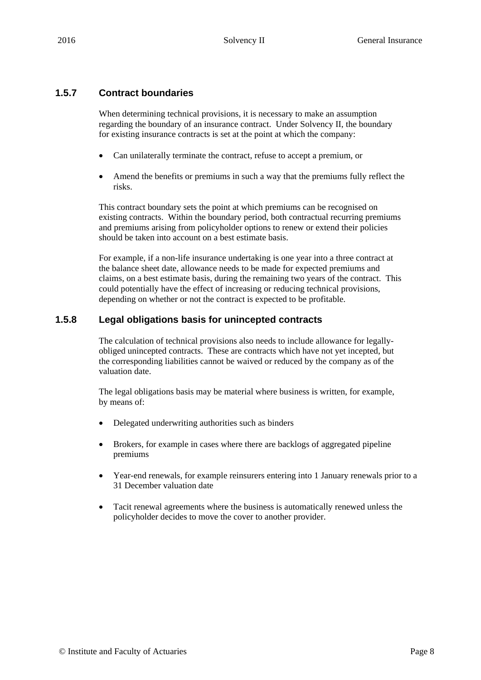### **1.5.7 Contract boundaries**

When determining technical provisions, it is necessary to make an assumption regarding the boundary of an insurance contract. Under Solvency II, the boundary for existing insurance contracts is set at the point at which the company:

- Can unilaterally terminate the contract, refuse to accept a premium, or
- Amend the benefits or premiums in such a way that the premiums fully reflect the risks.

This contract boundary sets the point at which premiums can be recognised on existing contracts. Within the boundary period, both contractual recurring premiums and premiums arising from policyholder options to renew or extend their policies should be taken into account on a best estimate basis.

For example, if a non-life insurance undertaking is one year into a three contract at the balance sheet date, allowance needs to be made for expected premiums and claims, on a best estimate basis, during the remaining two years of the contract. This could potentially have the effect of increasing or reducing technical provisions, depending on whether or not the contract is expected to be profitable.

#### **1.5.8 Legal obligations basis for unincepted contracts**

The calculation of technical provisions also needs to include allowance for legallyobliged unincepted contracts. These are contracts which have not yet incepted, but the corresponding liabilities cannot be waived or reduced by the company as of the valuation date.

The legal obligations basis may be material where business is written, for example, by means of:

- Delegated underwriting authorities such as binders
- Brokers, for example in cases where there are backlogs of aggregated pipeline premiums
- Year-end renewals, for example reinsurers entering into 1 January renewals prior to a 31 December valuation date
- Tacit renewal agreements where the business is automatically renewed unless the policyholder decides to move the cover to another provider.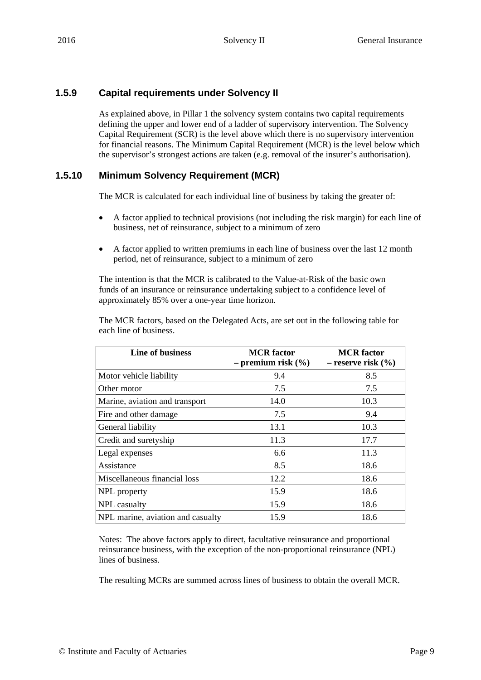# **1.5.9 Capital requirements under Solvency II**

As explained above, in Pillar 1 the solvency system contains two capital requirements defining the upper and lower end of a ladder of supervisory intervention. The Solvency Capital Requirement (SCR) is the level above which there is no supervisory intervention for financial reasons. The Minimum Capital Requirement (MCR) is the level below which the supervisor's strongest actions are taken (e.g. removal of the insurer's authorisation).

# **1.5.10 Minimum Solvency Requirement (MCR)**

The MCR is calculated for each individual line of business by taking the greater of:

- A factor applied to technical provisions (not including the risk margin) for each line of business, net of reinsurance, subject to a minimum of zero
- A factor applied to written premiums in each line of business over the last 12 month period, net of reinsurance, subject to a minimum of zero

The intention is that the MCR is calibrated to the Value-at-Risk of the basic own funds of an insurance or reinsurance undertaking subject to a confidence level of approximately 85% over a one-year time horizon.

The MCR factors, based on the Delegated Acts, are set out in the following table for each line of business.

| Line of business                  | <b>MCR</b> factor<br>$-$ premium risk $(\% )$ | <b>MCR</b> factor<br>$-$ reserve risk $(\% )$ |
|-----------------------------------|-----------------------------------------------|-----------------------------------------------|
| Motor vehicle liability           | 9.4                                           | 8.5                                           |
| Other motor                       | 7.5                                           | 7.5                                           |
| Marine, aviation and transport    | 14.0                                          | 10.3                                          |
| Fire and other damage.            | 7.5                                           | 9.4                                           |
| General liability                 | 13.1                                          | 10.3                                          |
| Credit and suretyship             | 11.3                                          | 17.7                                          |
| Legal expenses                    | 6.6                                           | 11.3                                          |
| Assistance                        | 8.5                                           | 18.6                                          |
| Miscellaneous financial loss      | 12.2                                          | 18.6                                          |
| NPL property                      | 15.9                                          | 18.6                                          |
| NPL casualty                      | 15.9                                          | 18.6                                          |
| NPL marine, aviation and casualty | 15.9                                          | 18.6                                          |

Notes: The above factors apply to direct, facultative reinsurance and proportional reinsurance business, with the exception of the non-proportional reinsurance (NPL) lines of business.

The resulting MCRs are summed across lines of business to obtain the overall MCR.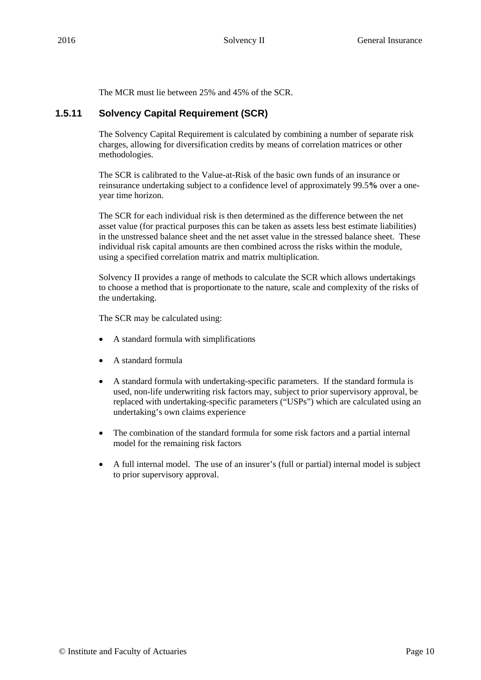The MCR must lie between 25% and 45% of the SCR.

#### **1.5.11 Solvency Capital Requirement (SCR)**

The Solvency Capital Requirement is calculated by combining a number of separate risk charges, allowing for diversification credits by means of correlation matrices or other methodologies.

The SCR is calibrated to the Value-at-Risk of the basic own funds of an insurance or reinsurance undertaking subject to a confidence level of approximately 99.5**%** over a oneyear time horizon.

The SCR for each individual risk is then determined as the difference between the net asset value (for practical purposes this can be taken as assets less best estimate liabilities) in the unstressed balance sheet and the net asset value in the stressed balance sheet. These individual risk capital amounts are then combined across the risks within the module, using a specified correlation matrix and matrix multiplication.

Solvency II provides a range of methods to calculate the SCR which allows undertakings to choose a method that is proportionate to the nature, scale and complexity of the risks of the undertaking.

The SCR may be calculated using:

- A standard formula with simplifications
- A standard formula
- A standard formula with undertaking-specific parameters. If the standard formula is used, non-life underwriting risk factors may, subject to prior supervisory approval, be replaced with undertaking-specific parameters ("USPs") which are calculated using an undertaking's own claims experience
- The combination of the standard formula for some risk factors and a partial internal model for the remaining risk factors
- A full internal model. The use of an insurer's (full or partial) internal model is subject to prior supervisory approval.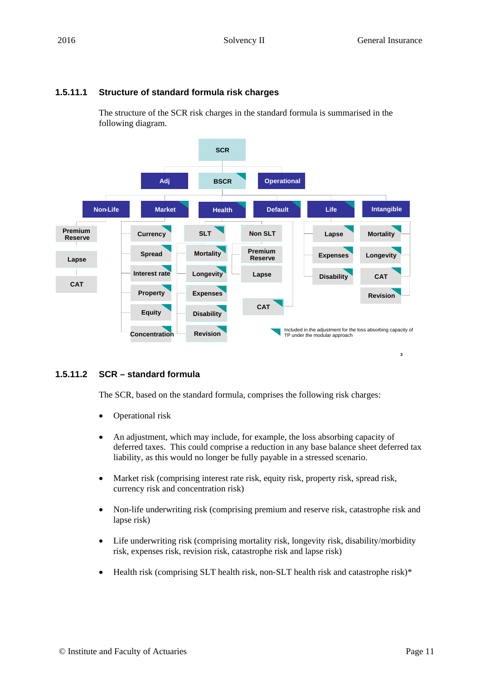# **1.5.11.1 Structure of standard formula risk charges**

The structure of the SCR risk charges in the standard formula is summarised in the following diagram.



# **1.5.11.2 SCR – standard formula**

The SCR, based on the standard formula, comprises the following risk charges:

- Operational risk
- An adjustment, which may include, for example, the loss absorbing capacity of deferred taxes. This could comprise a reduction in any base balance sheet deferred tax liability, as this would no longer be fully payable in a stressed scenario.
- Market risk (comprising interest rate risk, equity risk, property risk, spread risk, currency risk and concentration risk)
- Non-life underwriting risk (comprising premium and reserve risk, catastrophe risk and lapse risk)
- Life underwriting risk (comprising mortality risk, longevity risk, disability/morbidity risk, expenses risk, revision risk, catastrophe risk and lapse risk)
- Health risk (comprising SLT health risk, non-SLT health risk and catastrophe risk)\*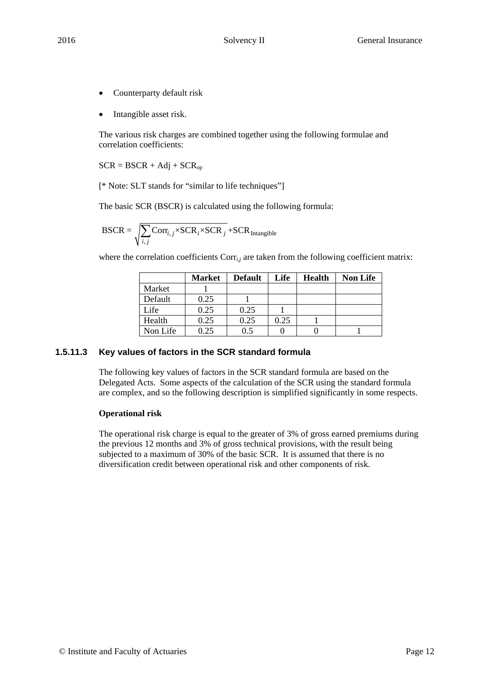- Counterparty default risk
- Intangible asset risk.

The various risk charges are combined together using the following formulae and correlation coefficients:

 $SCR = BSCR + Adj + SCR<sub>op</sub>$ 

[\* Note: SLT stands for "similar to life techniques"]

The basic SCR (BSCR) is calculated using the following formula:

$$
BSCR = \sqrt{\sum_{i,j} \text{Corr}_{i,j} \times \text{SCR}_i \times \text{SCR}_j} + \text{SCR}_{\text{Intangible}}
$$

where the correlation coefficients Corr<sub>*i,j*</sub> are taken from the following coefficient matrix:

|          | <b>Market</b> | <b>Default</b> | Life | <b>Health</b> | <b>Non Life</b> |
|----------|---------------|----------------|------|---------------|-----------------|
| Market   |               |                |      |               |                 |
| Default  | 0.25          |                |      |               |                 |
| Life     | 0.25          | 0.25           |      |               |                 |
| Health   | 0.25          | 0.25           | 0.25 |               |                 |
| Non Life | 0.25          | 0.5            |      |               |                 |

#### **1.5.11.3 Key values of factors in the SCR standard formula**

The following key values of factors in the SCR standard formula are based on the Delegated Acts. Some aspects of the calculation of the SCR using the standard formula are complex, and so the following description is simplified significantly in some respects.

#### **Operational risk**

The operational risk charge is equal to the greater of 3% of gross earned premiums during the previous 12 months and 3% of gross technical provisions, with the result being subjected to a maximum of 30% of the basic SCR. It is assumed that there is no diversification credit between operational risk and other components of risk.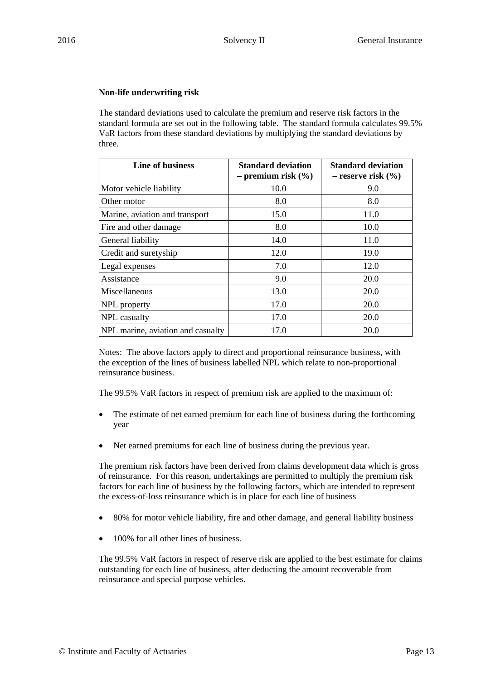#### **Non-life underwriting risk**

The standard deviations used to calculate the premium and reserve risk factors in the standard formula are set out in the following table. The standard formula calculates 99.5% VaR factors from these standard deviations by multiplying the standard deviations by three.

| <b>Line of business</b>           | <b>Standard deviation</b><br>$-$ premium risk $(\% )$ | <b>Standard deviation</b><br>$-$ reserve risk $(\% )$ |
|-----------------------------------|-------------------------------------------------------|-------------------------------------------------------|
| Motor vehicle liability           | 10.0                                                  | 9.0                                                   |
| Other motor                       | 8.0                                                   | 8.0                                                   |
| Marine, aviation and transport    | 15.0                                                  | 11.0                                                  |
| Fire and other damage             | 8.0                                                   | 10.0                                                  |
| General liability                 | 14.0                                                  | 11.0                                                  |
| Credit and suretyship             | 12.0                                                  | 19.0                                                  |
| Legal expenses                    | 7.0                                                   | 12.0                                                  |
| Assistance                        | 9.0                                                   | 20.0                                                  |
| Miscellaneous                     | 13.0                                                  | 20.0                                                  |
| NPL property                      | 17.0                                                  | 20.0                                                  |
| NPL casualty                      | 17.0                                                  | 20.0                                                  |
| NPL marine, aviation and casualty | 17.0                                                  | 20.0                                                  |

Notes: The above factors apply to direct and proportional reinsurance business, with the exception of the lines of business labelled NPL which relate to non-proportional reinsurance business.

The 99.5% VaR factors in respect of premium risk are applied to the maximum of:

- The estimate of net earned premium for each line of business during the forthcoming year
- Net earned premiums for each line of business during the previous year.

The premium risk factors have been derived from claims development data which is gross of reinsurance. For this reason, undertakings are permitted to multiply the premium risk factors for each line of business by the following factors, which are intended to represent the excess-of-loss reinsurance which is in place for each line of business

- 80% for motor vehicle liability, fire and other damage, and general liability business
- 100% for all other lines of business.

The 99.5% VaR factors in respect of reserve risk are applied to the best estimate for claims outstanding for each line of business, after deducting the amount recoverable from reinsurance and special purpose vehicles.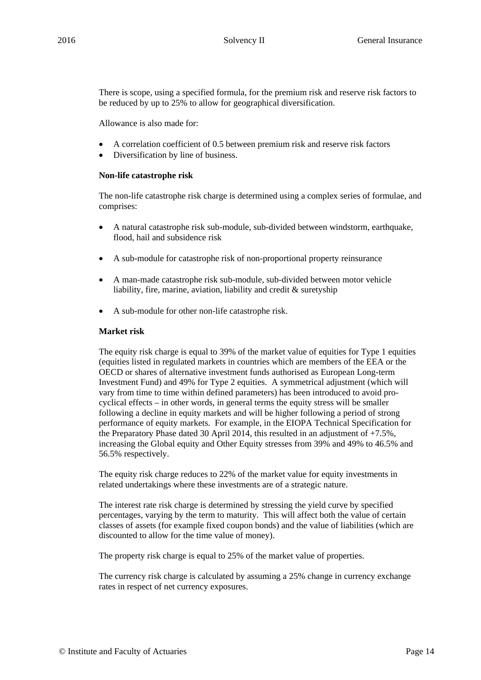There is scope, using a specified formula, for the premium risk and reserve risk factors to be reduced by up to 25% to allow for geographical diversification.

Allowance is also made for:

- A correlation coefficient of 0.5 between premium risk and reserve risk factors
- Diversification by line of business.

#### **Non-life catastrophe risk**

The non-life catastrophe risk charge is determined using a complex series of formulae, and comprises:

- A natural catastrophe risk sub-module, sub-divided between windstorm, earthquake, flood, hail and subsidence risk
- A sub-module for catastrophe risk of non-proportional property reinsurance
- A man-made catastrophe risk sub-module, sub-divided between motor vehicle liability, fire, marine, aviation, liability and credit & suretyship
- A sub-module for other non-life catastrophe risk.

#### **Market risk**

The equity risk charge is equal to 39% of the market value of equities for Type 1 equities (equities listed in regulated markets in countries which are members of the EEA or the OECD or shares of alternative investment funds authorised as European Long-term Investment Fund) and 49% for Type 2 equities. A symmetrical adjustment (which will vary from time to time within defined parameters) has been introduced to avoid procyclical effects – in other words, in general terms the equity stress will be smaller following a decline in equity markets and will be higher following a period of strong performance of equity markets. For example, in the EIOPA Technical Specification for the Preparatory Phase dated 30 April 2014, this resulted in an adjustment of +7.5%, increasing the Global equity and Other Equity stresses from 39% and 49% to 46.5% and 56.5% respectively.

The equity risk charge reduces to 22% of the market value for equity investments in related undertakings where these investments are of a strategic nature.

The interest rate risk charge is determined by stressing the yield curve by specified percentages, varying by the term to maturity. This will affect both the value of certain classes of assets (for example fixed coupon bonds) and the value of liabilities (which are discounted to allow for the time value of money).

The property risk charge is equal to 25% of the market value of properties.

The currency risk charge is calculated by assuming a 25% change in currency exchange rates in respect of net currency exposures.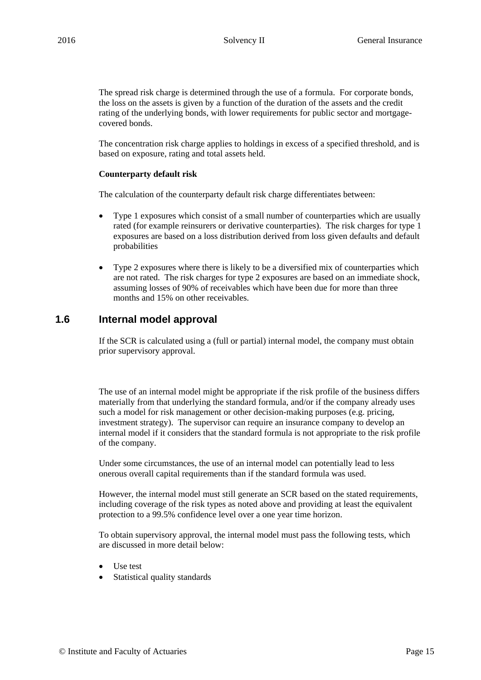The spread risk charge is determined through the use of a formula. For corporate bonds, the loss on the assets is given by a function of the duration of the assets and the credit rating of the underlying bonds, with lower requirements for public sector and mortgagecovered bonds.

The concentration risk charge applies to holdings in excess of a specified threshold, and is based on exposure, rating and total assets held.

#### **Counterparty default risk**

The calculation of the counterparty default risk charge differentiates between:

- Type 1 exposures which consist of a small number of counterparties which are usually rated (for example reinsurers or derivative counterparties). The risk charges for type 1 exposures are based on a loss distribution derived from loss given defaults and default probabilities
- Type 2 exposures where there is likely to be a diversified mix of counterparties which are not rated. The risk charges for type 2 exposures are based on an immediate shock, assuming losses of 90% of receivables which have been due for more than three months and 15% on other receivables.

# **1.6 Internal model approval**

If the SCR is calculated using a (full or partial) internal model, the company must obtain prior supervisory approval.

The use of an internal model might be appropriate if the risk profile of the business differs materially from that underlying the standard formula, and/or if the company already uses such a model for risk management or other decision-making purposes (e.g. pricing, investment strategy). The supervisor can require an insurance company to develop an internal model if it considers that the standard formula is not appropriate to the risk profile of the company.

Under some circumstances, the use of an internal model can potentially lead to less onerous overall capital requirements than if the standard formula was used.

However, the internal model must still generate an SCR based on the stated requirements, including coverage of the risk types as noted above and providing at least the equivalent protection to a 99.5% confidence level over a one year time horizon.

To obtain supervisory approval, the internal model must pass the following tests, which are discussed in more detail below:

- Use test
- Statistical quality standards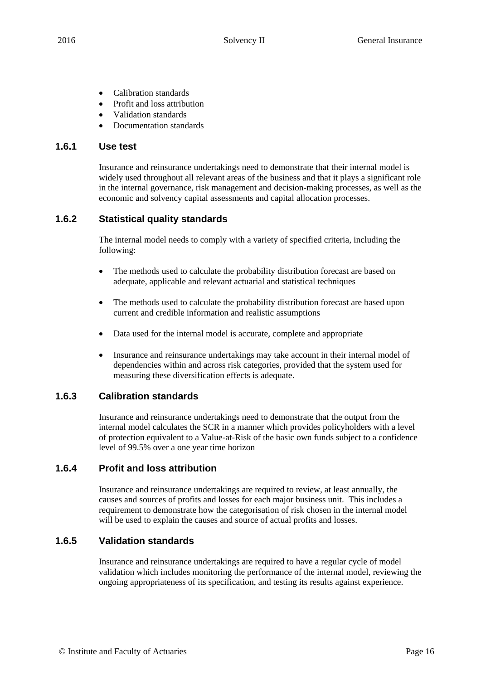- Calibration standards
- Profit and loss attribution
- Validation standards
- Documentation standards

#### **1.6.1 Use test**

Insurance and reinsurance undertakings need to demonstrate that their internal model is widely used throughout all relevant areas of the business and that it plays a significant role in the internal governance, risk management and decision-making processes, as well as the economic and solvency capital assessments and capital allocation processes.

# **1.6.2 Statistical quality standards**

The internal model needs to comply with a variety of specified criteria, including the following:

- The methods used to calculate the probability distribution forecast are based on adequate, applicable and relevant actuarial and statistical techniques
- The methods used to calculate the probability distribution forecast are based upon current and credible information and realistic assumptions
- Data used for the internal model is accurate, complete and appropriate
- Insurance and reinsurance undertakings may take account in their internal model of dependencies within and across risk categories, provided that the system used for measuring these diversification effects is adequate.

# **1.6.3 Calibration standards**

Insurance and reinsurance undertakings need to demonstrate that the output from the internal model calculates the SCR in a manner which provides policyholders with a level of protection equivalent to a Value-at-Risk of the basic own funds subject to a confidence level of 99.5% over a one year time horizon

#### **1.6.4 Profit and loss attribution**

Insurance and reinsurance undertakings are required to review, at least annually, the causes and sources of profits and losses for each major business unit. This includes a requirement to demonstrate how the categorisation of risk chosen in the internal model will be used to explain the causes and source of actual profits and losses.

# **1.6.5 Validation standards**

Insurance and reinsurance undertakings are required to have a regular cycle of model validation which includes monitoring the performance of the internal model, reviewing the ongoing appropriateness of its specification, and testing its results against experience.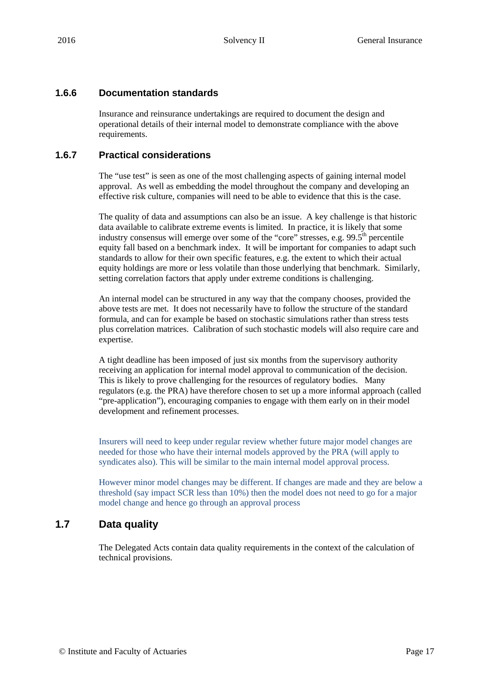### **1.6.6 Documentation standards**

Insurance and reinsurance undertakings are required to document the design and operational details of their internal model to demonstrate compliance with the above requirements.

#### **1.6.7 Practical considerations**

The "use test" is seen as one of the most challenging aspects of gaining internal model approval. As well as embedding the model throughout the company and developing an effective risk culture, companies will need to be able to evidence that this is the case.

The quality of data and assumptions can also be an issue. A key challenge is that historic data available to calibrate extreme events is limited. In practice, it is likely that some industry consensus will emerge over some of the "core" stresses, e.g.  $99.5<sup>th</sup>$  percentile equity fall based on a benchmark index. It will be important for companies to adapt such standards to allow for their own specific features, e.g. the extent to which their actual equity holdings are more or less volatile than those underlying that benchmark. Similarly, setting correlation factors that apply under extreme conditions is challenging.

An internal model can be structured in any way that the company chooses, provided the above tests are met. It does not necessarily have to follow the structure of the standard formula, and can for example be based on stochastic simulations rather than stress tests plus correlation matrices. Calibration of such stochastic models will also require care and expertise.

A tight deadline has been imposed of just six months from the supervisory authority receiving an application for internal model approval to communication of the decision. This is likely to prove challenging for the resources of regulatory bodies. Many regulators (e.g. the PRA) have therefore chosen to set up a more informal approach (called "pre-application"), encouraging companies to engage with them early on in their model development and refinement processes.

Insurers will need to keep under regular review whether future major model changes are needed for those who have their internal models approved by the PRA (will apply to syndicates also). This will be similar to the main internal model approval process.

However minor model changes may be different. If changes are made and they are below a threshold (say impact SCR less than 10%) then the model does not need to go for a major model change and hence go through an approval process

# **1.7 Data quality**

The Delegated Acts contain data quality requirements in the context of the calculation of technical provisions.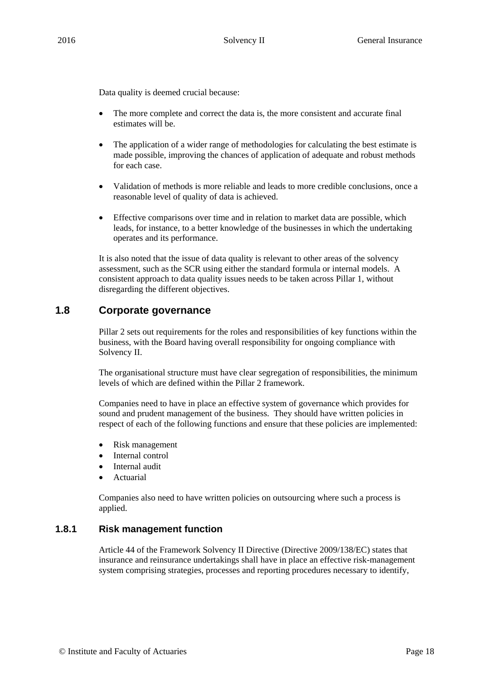Data quality is deemed crucial because:

- The more complete and correct the data is, the more consistent and accurate final estimates will be.
- The application of a wider range of methodologies for calculating the best estimate is made possible, improving the chances of application of adequate and robust methods for each case.
- Validation of methods is more reliable and leads to more credible conclusions, once a reasonable level of quality of data is achieved.
- Effective comparisons over time and in relation to market data are possible, which leads, for instance, to a better knowledge of the businesses in which the undertaking operates and its performance.

It is also noted that the issue of data quality is relevant to other areas of the solvency assessment, such as the SCR using either the standard formula or internal models. A consistent approach to data quality issues needs to be taken across Pillar 1, without disregarding the different objectives.

# **1.8 Corporate governance**

Pillar 2 sets out requirements for the roles and responsibilities of key functions within the business, with the Board having overall responsibility for ongoing compliance with Solvency II.

The organisational structure must have clear segregation of responsibilities, the minimum levels of which are defined within the Pillar 2 framework.

Companies need to have in place an effective system of governance which provides for sound and prudent management of the business. They should have written policies in respect of each of the following functions and ensure that these policies are implemented:

- Risk management
- Internal control
- Internal audit
- Actuarial

Companies also need to have written policies on outsourcing where such a process is applied.

#### **1.8.1 Risk management function**

Article 44 of the Framework Solvency II Directive (Directive 2009/138/EC) states that insurance and reinsurance undertakings shall have in place an effective risk-management system comprising strategies, processes and reporting procedures necessary to identify,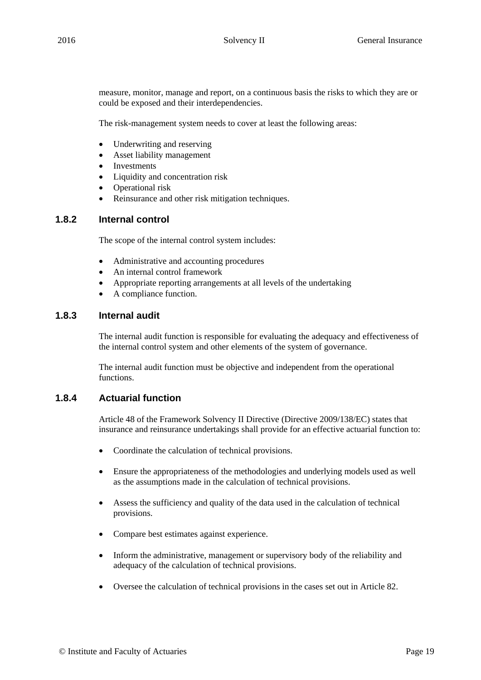measure, monitor, manage and report, on a continuous basis the risks to which they are or could be exposed and their interdependencies.

The risk-management system needs to cover at least the following areas:

- Underwriting and reserving
- Asset liability management
- Investments
- Liquidity and concentration risk
- Operational risk
- Reinsurance and other risk mitigation techniques.

#### **1.8.2 Internal control**

The scope of the internal control system includes:

- Administrative and accounting procedures
- An internal control framework
- Appropriate reporting arrangements at all levels of the undertaking
- A compliance function.

### **1.8.3 Internal audit**

The internal audit function is responsible for evaluating the adequacy and effectiveness of the internal control system and other elements of the system of governance.

The internal audit function must be objective and independent from the operational functions.

#### **1.8.4 Actuarial function**

Article 48 of the Framework Solvency II Directive (Directive 2009/138/EC) states that insurance and reinsurance undertakings shall provide for an effective actuarial function to:

- Coordinate the calculation of technical provisions.
- Ensure the appropriateness of the methodologies and underlying models used as well as the assumptions made in the calculation of technical provisions.
- Assess the sufficiency and quality of the data used in the calculation of technical provisions.
- Compare best estimates against experience.
- Inform the administrative, management or supervisory body of the reliability and adequacy of the calculation of technical provisions.
- Oversee the calculation of technical provisions in the cases set out in Article 82.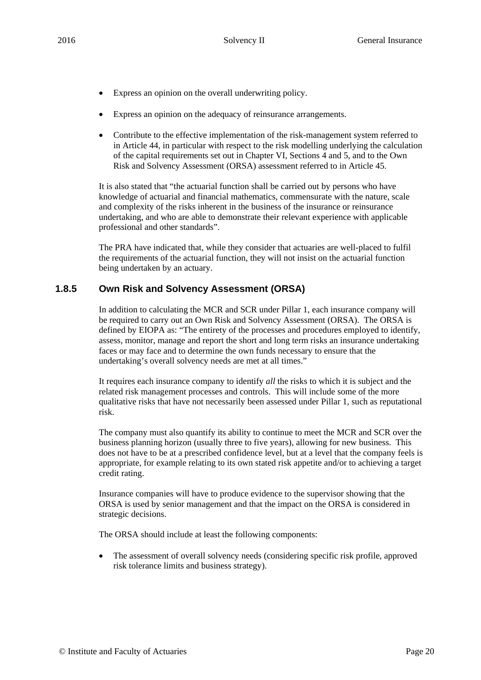- Express an opinion on the overall underwriting policy.
- Express an opinion on the adequacy of reinsurance arrangements.
- Contribute to the effective implementation of the risk-management system referred to in Article 44, in particular with respect to the risk modelling underlying the calculation of the capital requirements set out in Chapter VI, Sections 4 and 5, and to the Own Risk and Solvency Assessment (ORSA) assessment referred to in Article 45.

It is also stated that "the actuarial function shall be carried out by persons who have knowledge of actuarial and financial mathematics, commensurate with the nature, scale and complexity of the risks inherent in the business of the insurance or reinsurance undertaking, and who are able to demonstrate their relevant experience with applicable professional and other standards".

The PRA have indicated that, while they consider that actuaries are well-placed to fulfil the requirements of the actuarial function, they will not insist on the actuarial function being undertaken by an actuary.

#### **1.8.5 Own Risk and Solvency Assessment (ORSA)**

In addition to calculating the MCR and SCR under Pillar 1, each insurance company will be required to carry out an Own Risk and Solvency Assessment (ORSA). The ORSA is defined by EIOPA as: "The entirety of the processes and procedures employed to identify, assess, monitor, manage and report the short and long term risks an insurance undertaking faces or may face and to determine the own funds necessary to ensure that the undertaking's overall solvency needs are met at all times."

It requires each insurance company to identify *all* the risks to which it is subject and the related risk management processes and controls. This will include some of the more qualitative risks that have not necessarily been assessed under Pillar 1, such as reputational risk.

The company must also quantify its ability to continue to meet the MCR and SCR over the business planning horizon (usually three to five years), allowing for new business. This does not have to be at a prescribed confidence level, but at a level that the company feels is appropriate, for example relating to its own stated risk appetite and/or to achieving a target credit rating.

Insurance companies will have to produce evidence to the supervisor showing that the ORSA is used by senior management and that the impact on the ORSA is considered in strategic decisions.

The ORSA should include at least the following components:

 The assessment of overall solvency needs (considering specific risk profile, approved risk tolerance limits and business strategy).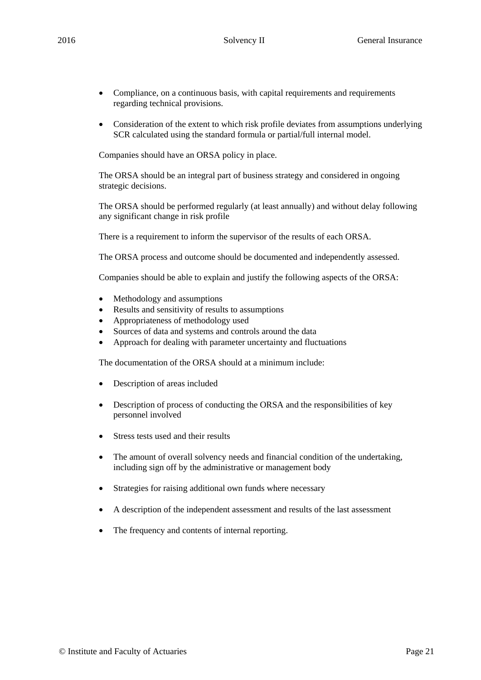- Compliance, on a continuous basis, with capital requirements and requirements regarding technical provisions.
- Consideration of the extent to which risk profile deviates from assumptions underlying SCR calculated using the standard formula or partial/full internal model.

Companies should have an ORSA policy in place.

The ORSA should be an integral part of business strategy and considered in ongoing strategic decisions.

The ORSA should be performed regularly (at least annually) and without delay following any significant change in risk profile

There is a requirement to inform the supervisor of the results of each ORSA.

The ORSA process and outcome should be documented and independently assessed.

Companies should be able to explain and justify the following aspects of the ORSA:

- Methodology and assumptions
- Results and sensitivity of results to assumptions
- Appropriateness of methodology used
- Sources of data and systems and controls around the data
- Approach for dealing with parameter uncertainty and fluctuations

The documentation of the ORSA should at a minimum include:

- Description of areas included
- Description of process of conducting the ORSA and the responsibilities of key personnel involved
- Stress tests used and their results
- The amount of overall solvency needs and financial condition of the undertaking, including sign off by the administrative or management body
- Strategies for raising additional own funds where necessary
- A description of the independent assessment and results of the last assessment
- The frequency and contents of internal reporting.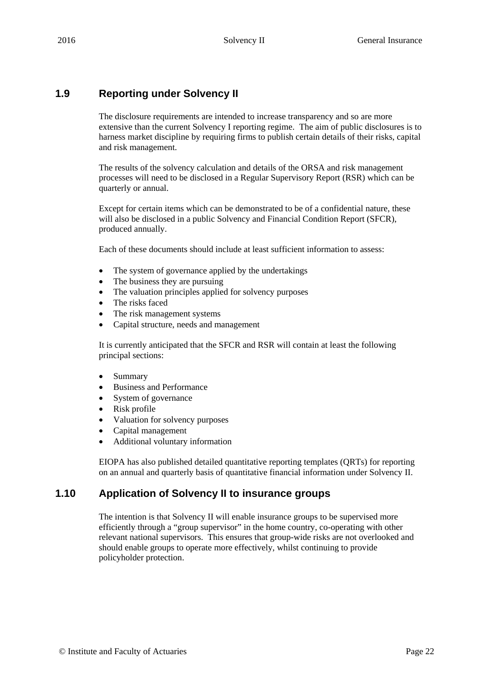# **1.9 Reporting under Solvency II**

The disclosure requirements are intended to increase transparency and so are more extensive than the current Solvency I reporting regime. The aim of public disclosures is to harness market discipline by requiring firms to publish certain details of their risks, capital and risk management.

The results of the solvency calculation and details of the ORSA and risk management processes will need to be disclosed in a Regular Supervisory Report (RSR) which can be quarterly or annual.

Except for certain items which can be demonstrated to be of a confidential nature, these will also be disclosed in a public Solvency and Financial Condition Report (SFCR), produced annually.

Each of these documents should include at least sufficient information to assess:

- The system of governance applied by the undertakings
- The business they are pursuing
- The valuation principles applied for solvency purposes
- The risks faced
- The risk management systems
- Capital structure, needs and management

It is currently anticipated that the SFCR and RSR will contain at least the following principal sections:

- Summary
- Business and Performance
- System of governance
- Risk profile
- Valuation for solvency purposes
- Capital management
- Additional voluntary information

EIOPA has also published detailed quantitative reporting templates (QRTs) for reporting on an annual and quarterly basis of quantitative financial information under Solvency II.

# **1.10 Application of Solvency II to insurance groups**

The intention is that Solvency II will enable insurance groups to be supervised more efficiently through a "group supervisor" in the home country, co-operating with other relevant national supervisors. This ensures that group-wide risks are not overlooked and should enable groups to operate more effectively, whilst continuing to provide policyholder protection.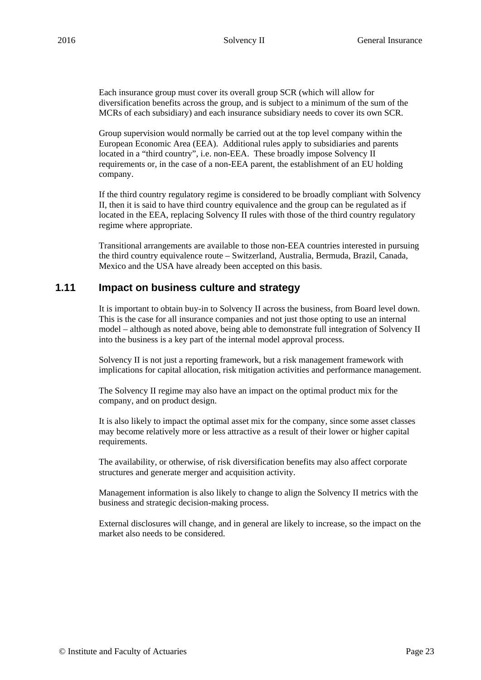Each insurance group must cover its overall group SCR (which will allow for diversification benefits across the group, and is subject to a minimum of the sum of the MCRs of each subsidiary) and each insurance subsidiary needs to cover its own SCR.

Group supervision would normally be carried out at the top level company within the European Economic Area (EEA). Additional rules apply to subsidiaries and parents located in a "third country", i.e. non-EEA. These broadly impose Solvency II requirements or, in the case of a non-EEA parent, the establishment of an EU holding company.

If the third country regulatory regime is considered to be broadly compliant with Solvency II, then it is said to have third country equivalence and the group can be regulated as if located in the EEA, replacing Solvency II rules with those of the third country regulatory regime where appropriate.

Transitional arrangements are available to those non-EEA countries interested in pursuing the third country equivalence route – Switzerland, Australia, Bermuda, Brazil, Canada, Mexico and the USA have already been accepted on this basis.

### **1.11 Impact on business culture and strategy**

It is important to obtain buy-in to Solvency II across the business, from Board level down. This is the case for all insurance companies and not just those opting to use an internal model – although as noted above, being able to demonstrate full integration of Solvency II into the business is a key part of the internal model approval process.

Solvency II is not just a reporting framework, but a risk management framework with implications for capital allocation, risk mitigation activities and performance management.

The Solvency II regime may also have an impact on the optimal product mix for the company, and on product design.

It is also likely to impact the optimal asset mix for the company, since some asset classes may become relatively more or less attractive as a result of their lower or higher capital requirements.

The availability, or otherwise, of risk diversification benefits may also affect corporate structures and generate merger and acquisition activity.

Management information is also likely to change to align the Solvency II metrics with the business and strategic decision-making process.

External disclosures will change, and in general are likely to increase, so the impact on the market also needs to be considered.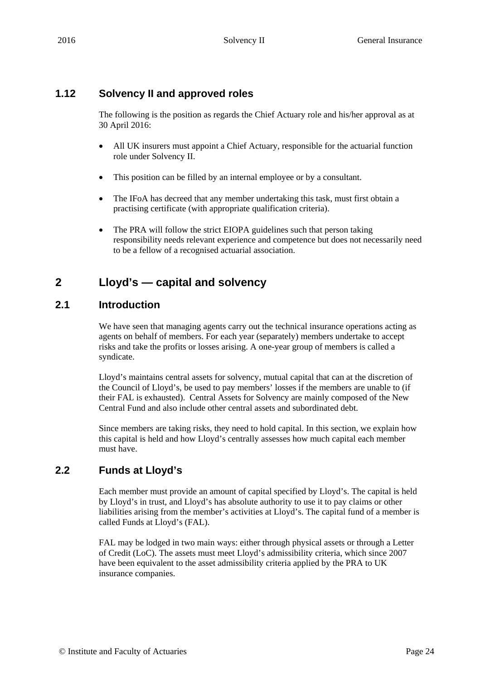# **1.12 Solvency II and approved roles**

The following is the position as regards the Chief Actuary role and his/her approval as at 30 April 2016:

- All UK insurers must appoint a Chief Actuary, responsible for the actuarial function role under Solvency II.
- This position can be filled by an internal employee or by a consultant.
- The IFoA has decreed that any member undertaking this task, must first obtain a practising certificate (with appropriate qualification criteria).
- The PRA will follow the strict EIOPA guidelines such that person taking responsibility needs relevant experience and competence but does not necessarily need to be a fellow of a recognised actuarial association.

# **2 Lloyd's — capital and solvency**

# **2.1 Introduction**

We have seen that managing agents carry out the technical insurance operations acting as agents on behalf of members. For each year (separately) members undertake to accept risks and take the profits or losses arising. A one-year group of members is called a syndicate.

Lloyd's maintains central assets for solvency, mutual capital that can at the discretion of the Council of Lloyd's, be used to pay members' losses if the members are unable to (if their FAL is exhausted). Central Assets for Solvency are mainly composed of the New Central Fund and also include other central assets and subordinated debt.

Since members are taking risks, they need to hold capital. In this section, we explain how this capital is held and how Lloyd's centrally assesses how much capital each member must have.

# **2.2 Funds at Lloyd's**

Each member must provide an amount of capital specified by Lloyd's. The capital is held by Lloyd's in trust, and Lloyd's has absolute authority to use it to pay claims or other liabilities arising from the member's activities at Lloyd's. The capital fund of a member is called Funds at Lloyd's (FAL).

FAL may be lodged in two main ways: either through physical assets or through a Letter of Credit (LoC). The assets must meet Lloyd's admissibility criteria, which since 2007 have been equivalent to the asset admissibility criteria applied by the PRA to UK insurance companies.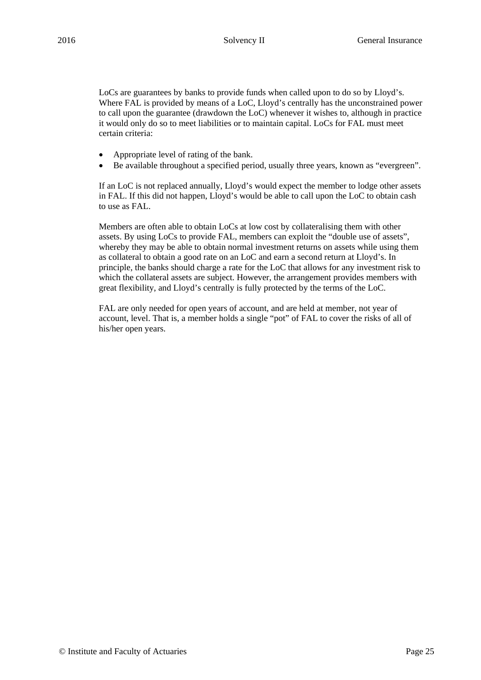LoCs are guarantees by banks to provide funds when called upon to do so by Lloyd's. Where FAL is provided by means of a LoC, Lloyd's centrally has the unconstrained power to call upon the guarantee (drawdown the LoC) whenever it wishes to, although in practice it would only do so to meet liabilities or to maintain capital. LoCs for FAL must meet certain criteria:

- Appropriate level of rating of the bank.
- Be available throughout a specified period, usually three years, known as "evergreen".

If an LoC is not replaced annually, Lloyd's would expect the member to lodge other assets in FAL. If this did not happen, Lloyd's would be able to call upon the LoC to obtain cash to use as FAL.

Members are often able to obtain LoCs at low cost by collateralising them with other assets. By using LoCs to provide FAL, members can exploit the "double use of assets", whereby they may be able to obtain normal investment returns on assets while using them as collateral to obtain a good rate on an LoC and earn a second return at Lloyd's. In principle, the banks should charge a rate for the LoC that allows for any investment risk to which the collateral assets are subject. However, the arrangement provides members with great flexibility, and Lloyd's centrally is fully protected by the terms of the LoC.

FAL are only needed for open years of account, and are held at member, not year of account, level. That is, a member holds a single "pot" of FAL to cover the risks of all of his/her open years.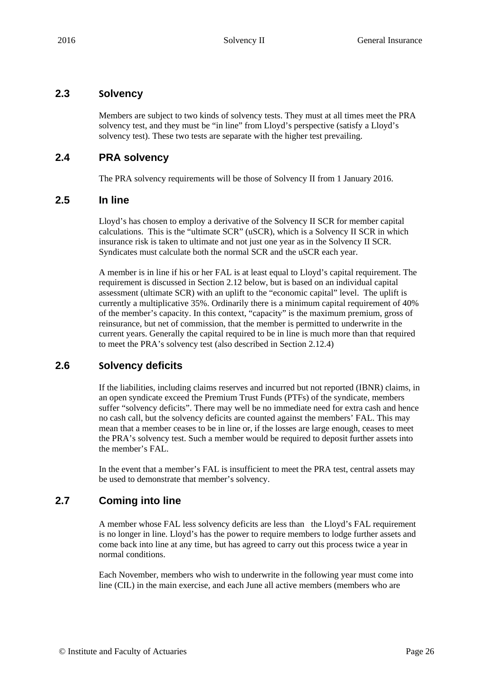### **2.3 Solvency**

Members are subject to two kinds of solvency tests. They must at all times meet the PRA solvency test, and they must be "in line" from Lloyd's perspective (satisfy a Lloyd's solvency test). These two tests are separate with the higher test prevailing.

# **2.4 PRA solvency**

The PRA solvency requirements will be those of Solvency II from 1 January 2016.

### **2.5 In line**

Lloyd's has chosen to employ a derivative of the Solvency II SCR for member capital calculations. This is the "ultimate SCR" (uSCR), which is a Solvency II SCR in which insurance risk is taken to ultimate and not just one year as in the Solvency II SCR. Syndicates must calculate both the normal SCR and the uSCR each year.

A member is in line if his or her FAL is at least equal to Lloyd's capital requirement. The requirement is discussed in Section 2.12 below, but is based on an individual capital assessment (ultimate SCR) with an uplift to the "economic capital" level. The uplift is currently a multiplicative 35%. Ordinarily there is a minimum capital requirement of 40% of the member's capacity. In this context, "capacity" is the maximum premium, gross of reinsurance, but net of commission, that the member is permitted to underwrite in the current years. Generally the capital required to be in line is much more than that required to meet the PRA's solvency test (also described in Section 2.12.4)

# **2.6 Solvency deficits**

If the liabilities, including claims reserves and incurred but not reported (IBNR) claims, in an open syndicate exceed the Premium Trust Funds (PTFs) of the syndicate, members suffer "solvency deficits". There may well be no immediate need for extra cash and hence no cash call, but the solvency deficits are counted against the members' FAL. This may mean that a member ceases to be in line or, if the losses are large enough, ceases to meet the PRA's solvency test. Such a member would be required to deposit further assets into the member's FAL.

In the event that a member's FAL is insufficient to meet the PRA test, central assets may be used to demonstrate that member's solvency.

# **2.7 Coming into line**

A member whose FAL less solvency deficits are less than the Lloyd's FAL requirement is no longer in line. Lloyd's has the power to require members to lodge further assets and come back into line at any time, but has agreed to carry out this process twice a year in normal conditions.

Each November, members who wish to underwrite in the following year must come into line (CIL) in the main exercise, and each June all active members (members who are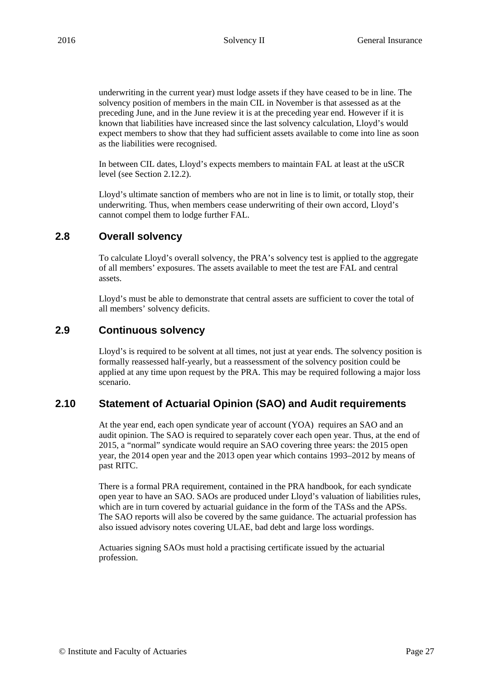underwriting in the current year) must lodge assets if they have ceased to be in line. The solvency position of members in the main CIL in November is that assessed as at the preceding June, and in the June review it is at the preceding year end. However if it is known that liabilities have increased since the last solvency calculation, Lloyd's would expect members to show that they had sufficient assets available to come into line as soon as the liabilities were recognised.

In between CIL dates, Lloyd's expects members to maintain FAL at least at the uSCR level (see Section 2.12.2).

Lloyd's ultimate sanction of members who are not in line is to limit, or totally stop, their underwriting. Thus, when members cease underwriting of their own accord, Lloyd's cannot compel them to lodge further FAL.

# **2.8 Overall solvency**

To calculate Lloyd's overall solvency, the PRA's solvency test is applied to the aggregate of all members' exposures. The assets available to meet the test are FAL and central assets.

Lloyd's must be able to demonstrate that central assets are sufficient to cover the total of all members' solvency deficits.

### **2.9 Continuous solvency**

Lloyd's is required to be solvent at all times, not just at year ends. The solvency position is formally reassessed half-yearly, but a reassessment of the solvency position could be applied at any time upon request by the PRA. This may be required following a major loss scenario.

# **2.10 Statement of Actuarial Opinion (SAO) and Audit requirements**

At the year end, each open syndicate year of account (YOA) requires an SAO and an audit opinion. The SAO is required to separately cover each open year. Thus, at the end of 2015, a "normal" syndicate would require an SAO covering three years: the 2015 open year, the 2014 open year and the 2013 open year which contains 1993–2012 by means of past RITC.

There is a formal PRA requirement, contained in the PRA handbook, for each syndicate open year to have an SAO. SAOs are produced under Lloyd's valuation of liabilities rules, which are in turn covered by actuarial guidance in the form of the TASs and the APSs. The SAO reports will also be covered by the same guidance. The actuarial profession has also issued advisory notes covering ULAE, bad debt and large loss wordings.

Actuaries signing SAOs must hold a practising certificate issued by the actuarial profession.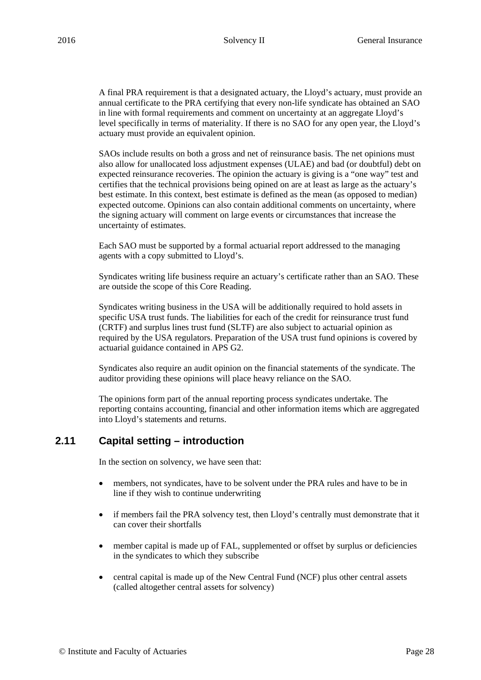A final PRA requirement is that a designated actuary, the Lloyd's actuary, must provide an annual certificate to the PRA certifying that every non-life syndicate has obtained an SAO in line with formal requirements and comment on uncertainty at an aggregate Lloyd's level specifically in terms of materiality. If there is no SAO for any open year, the Lloyd's actuary must provide an equivalent opinion.

SAOs include results on both a gross and net of reinsurance basis. The net opinions must also allow for unallocated loss adjustment expenses (ULAE) and bad (or doubtful) debt on expected reinsurance recoveries. The opinion the actuary is giving is a "one way" test and certifies that the technical provisions being opined on are at least as large as the actuary's best estimate. In this context, best estimate is defined as the mean (as opposed to median) expected outcome. Opinions can also contain additional comments on uncertainty, where the signing actuary will comment on large events or circumstances that increase the uncertainty of estimates.

Each SAO must be supported by a formal actuarial report addressed to the managing agents with a copy submitted to Lloyd's.

Syndicates writing life business require an actuary's certificate rather than an SAO. These are outside the scope of this Core Reading.

Syndicates writing business in the USA will be additionally required to hold assets in specific USA trust funds. The liabilities for each of the credit for reinsurance trust fund (CRTF) and surplus lines trust fund (SLTF) are also subject to actuarial opinion as required by the USA regulators. Preparation of the USA trust fund opinions is covered by actuarial guidance contained in APS G2.

Syndicates also require an audit opinion on the financial statements of the syndicate. The auditor providing these opinions will place heavy reliance on the SAO.

The opinions form part of the annual reporting process syndicates undertake. The reporting contains accounting, financial and other information items which are aggregated into Lloyd's statements and returns.

### **2.11 Capital setting – introduction**

In the section on solvency, we have seen that:

- members, not syndicates, have to be solvent under the PRA rules and have to be in line if they wish to continue underwriting
- if members fail the PRA solvency test, then Lloyd's centrally must demonstrate that it can cover their shortfalls
- member capital is made up of FAL, supplemented or offset by surplus or deficiencies in the syndicates to which they subscribe
- central capital is made up of the New Central Fund (NCF) plus other central assets (called altogether central assets for solvency)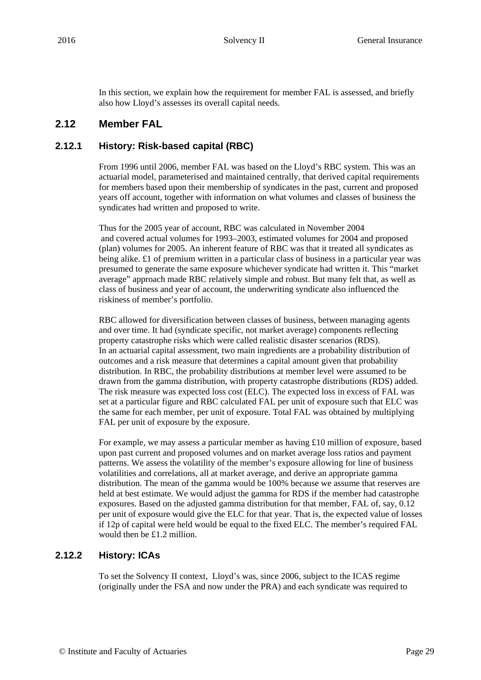In this section, we explain how the requirement for member FAL is assessed, and briefly also how Lloyd's assesses its overall capital needs.

### **2.12 Member FAL**

#### **2.12.1 History: Risk-based capital (RBC)**

From 1996 until 2006, member FAL was based on the Lloyd's RBC system. This was an actuarial model, parameterised and maintained centrally, that derived capital requirements for members based upon their membership of syndicates in the past, current and proposed years off account, together with information on what volumes and classes of business the syndicates had written and proposed to write.

Thus for the 2005 year of account, RBC was calculated in November 2004 and covered actual volumes for 1993–2003, estimated volumes for 2004 and proposed (plan) volumes for 2005. An inherent feature of RBC was that it treated all syndicates as being alike. £1 of premium written in a particular class of business in a particular year was presumed to generate the same exposure whichever syndicate had written it. This "market average" approach made RBC relatively simple and robust. But many felt that, as well as class of business and year of account, the underwriting syndicate also influenced the riskiness of member's portfolio.

RBC allowed for diversification between classes of business, between managing agents and over time. It had (syndicate specific, not market average) components reflecting property catastrophe risks which were called realistic disaster scenarios (RDS). In an actuarial capital assessment, two main ingredients are a probability distribution of outcomes and a risk measure that determines a capital amount given that probability distribution. In RBC, the probability distributions at member level were assumed to be drawn from the gamma distribution, with property catastrophe distributions (RDS) added. The risk measure was expected loss cost (ELC). The expected loss in excess of FAL was set at a particular figure and RBC calculated FAL per unit of exposure such that ELC was the same for each member, per unit of exposure. Total FAL was obtained by multiplying FAL per unit of exposure by the exposure.

For example, we may assess a particular member as having £10 million of exposure, based upon past current and proposed volumes and on market average loss ratios and payment patterns. We assess the volatility of the member's exposure allowing for line of business volatilities and correlations, all at market average, and derive an appropriate gamma distribution. The mean of the gamma would be 100% because we assume that reserves are held at best estimate. We would adjust the gamma for RDS if the member had catastrophe exposures. Based on the adjusted gamma distribution for that member, FAL of, say, 0.12 per unit of exposure would give the ELC for that year. That is, the expected value of losses if 12p of capital were held would be equal to the fixed ELC. The member's required FAL would then be £1.2 million.

#### **2.12.2 History: ICAs**

To set the Solvency II context, Lloyd's was, since 2006, subject to the ICAS regime (originally under the FSA and now under the PRA) and each syndicate was required to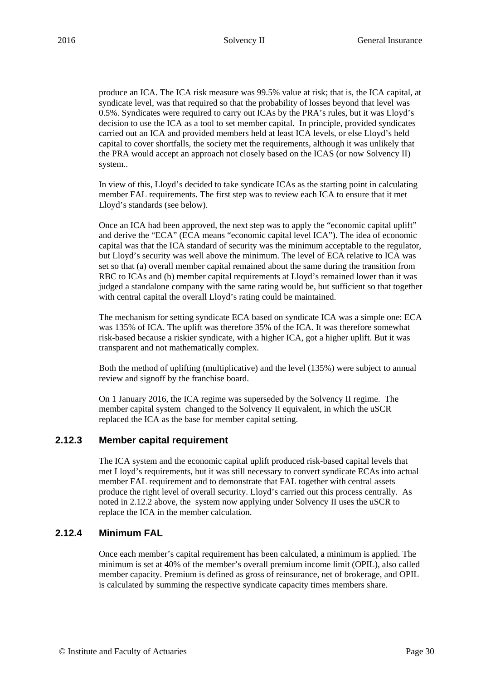produce an ICA. The ICA risk measure was 99.5% value at risk; that is, the ICA capital, at syndicate level, was that required so that the probability of losses beyond that level was 0.5%. Syndicates were required to carry out ICAs by the PRA's rules, but it was Lloyd's decision to use the ICA as a tool to set member capital. In principle, provided syndicates carried out an ICA and provided members held at least ICA levels, or else Lloyd's held capital to cover shortfalls, the society met the requirements, although it was unlikely that the PRA would accept an approach not closely based on the ICAS (or now Solvency II) system..

In view of this, Lloyd's decided to take syndicate ICAs as the starting point in calculating member FAL requirements. The first step was to review each ICA to ensure that it met Lloyd's standards (see below).

Once an ICA had been approved, the next step was to apply the "economic capital uplift" and derive the "ECA" (ECA means "economic capital level ICA"). The idea of economic capital was that the ICA standard of security was the minimum acceptable to the regulator, but Lloyd's security was well above the minimum. The level of ECA relative to ICA was set so that (a) overall member capital remained about the same during the transition from RBC to ICAs and (b) member capital requirements at Lloyd's remained lower than it was judged a standalone company with the same rating would be, but sufficient so that together with central capital the overall Lloyd's rating could be maintained.

The mechanism for setting syndicate ECA based on syndicate ICA was a simple one: ECA was 135% of ICA. The uplift was therefore 35% of the ICA. It was therefore somewhat risk-based because a riskier syndicate, with a higher ICA, got a higher uplift. But it was transparent and not mathematically complex.

Both the method of uplifting (multiplicative) and the level (135%) were subject to annual review and signoff by the franchise board.

On 1 January 2016, the ICA regime was superseded by the Solvency II regime. The member capital system changed to the Solvency II equivalent, in which the uSCR replaced the ICA as the base for member capital setting.

#### **2.12.3 Member capital requirement**

The ICA system and the economic capital uplift produced risk-based capital levels that met Lloyd's requirements, but it was still necessary to convert syndicate ECAs into actual member FAL requirement and to demonstrate that FAL together with central assets produce the right level of overall security. Lloyd's carried out this process centrally. As noted in 2.12.2 above, the system now applying under Solvency II uses the uSCR to replace the ICA in the member calculation.

#### **2.12.4 Minimum FAL**

Once each member's capital requirement has been calculated, a minimum is applied. The minimum is set at 40% of the member's overall premium income limit (OPIL), also called member capacity. Premium is defined as gross of reinsurance, net of brokerage, and OPIL is calculated by summing the respective syndicate capacity times members share.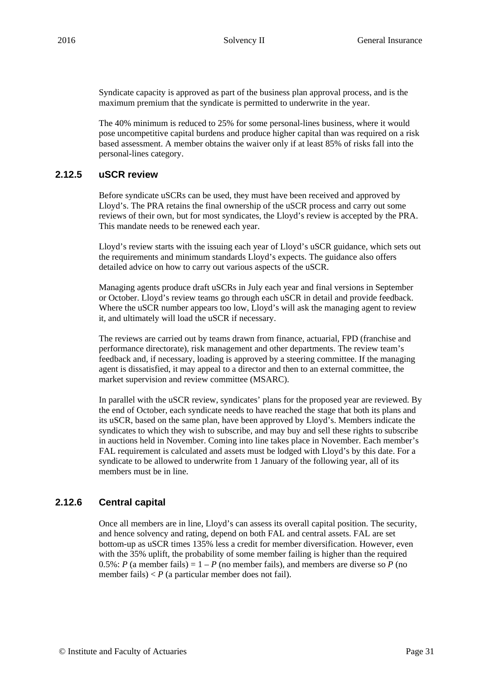Syndicate capacity is approved as part of the business plan approval process, and is the maximum premium that the syndicate is permitted to underwrite in the year.

The 40% minimum is reduced to 25% for some personal-lines business, where it would pose uncompetitive capital burdens and produce higher capital than was required on a risk based assessment. A member obtains the waiver only if at least 85% of risks fall into the personal-lines category.

#### **2.12.5 uSCR review**

Before syndicate uSCRs can be used, they must have been received and approved by Lloyd's. The PRA retains the final ownership of the uSCR process and carry out some reviews of their own, but for most syndicates, the Lloyd's review is accepted by the PRA. This mandate needs to be renewed each year.

Lloyd's review starts with the issuing each year of Lloyd's uSCR guidance, which sets out the requirements and minimum standards Lloyd's expects. The guidance also offers detailed advice on how to carry out various aspects of the uSCR.

Managing agents produce draft uSCRs in July each year and final versions in September or October. Lloyd's review teams go through each uSCR in detail and provide feedback. Where the uSCR number appears too low, Lloyd's will ask the managing agent to review it, and ultimately will load the uSCR if necessary.

The reviews are carried out by teams drawn from finance, actuarial, FPD (franchise and performance directorate), risk management and other departments. The review team's feedback and, if necessary, loading is approved by a steering committee. If the managing agent is dissatisfied, it may appeal to a director and then to an external committee, the market supervision and review committee (MSARC).

In parallel with the uSCR review, syndicates' plans for the proposed year are reviewed. By the end of October, each syndicate needs to have reached the stage that both its plans and its uSCR, based on the same plan, have been approved by Lloyd's. Members indicate the syndicates to which they wish to subscribe, and may buy and sell these rights to subscribe in auctions held in November. Coming into line takes place in November. Each member's FAL requirement is calculated and assets must be lodged with Lloyd's by this date. For a syndicate to be allowed to underwrite from 1 January of the following year, all of its members must be in line.

#### **2.12.6 Central capital**

Once all members are in line, Lloyd's can assess its overall capital position. The security, and hence solvency and rating, depend on both FAL and central assets. FAL are set bottom-up as uSCR times 135% less a credit for member diversification. However, even with the 35% uplift, the probability of some member failing is higher than the required 0.5%: *P* (a member fails) =  $1 - P$  (no member fails), and members are diverse so *P* (no member fails)  $P$  (a particular member does not fail).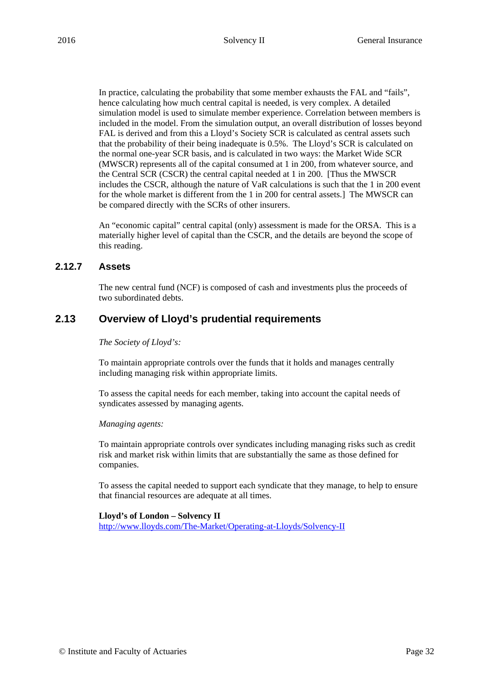In practice, calculating the probability that some member exhausts the FAL and "fails", hence calculating how much central capital is needed, is very complex. A detailed simulation model is used to simulate member experience. Correlation between members is included in the model. From the simulation output, an overall distribution of losses beyond FAL is derived and from this a Lloyd's Society SCR is calculated as central assets such that the probability of their being inadequate is 0.5%. The Lloyd's SCR is calculated on the normal one-year SCR basis, and is calculated in two ways: the Market Wide SCR (MWSCR) represents all of the capital consumed at 1 in 200, from whatever source, and the Central SCR (CSCR) the central capital needed at 1 in 200. [Thus the MWSCR includes the CSCR, although the nature of VaR calculations is such that the 1 in 200 event for the whole market is different from the 1 in 200 for central assets.] The MWSCR can be compared directly with the SCRs of other insurers.

An "economic capital" central capital (only) assessment is made for the ORSA. This is a materially higher level of capital than the CSCR, and the details are beyond the scope of this reading.

#### **2.12.7 Assets**

The new central fund (NCF) is composed of cash and investments plus the proceeds of two subordinated debts.

# **2.13 Overview of Lloyd's prudential requirements**

#### *The Society of Lloyd's:*

To maintain appropriate controls over the funds that it holds and manages centrally including managing risk within appropriate limits.

To assess the capital needs for each member, taking into account the capital needs of syndicates assessed by managing agents.

#### *Managing agents:*

To maintain appropriate controls over syndicates including managing risks such as credit risk and market risk within limits that are substantially the same as those defined for companies.

To assess the capital needed to support each syndicate that they manage, to help to ensure that financial resources are adequate at all times.

#### **Lloyd's of London – Solvency II**

http://www.lloyds.com/The-Market/Operating-at-Lloyds/Solvency-II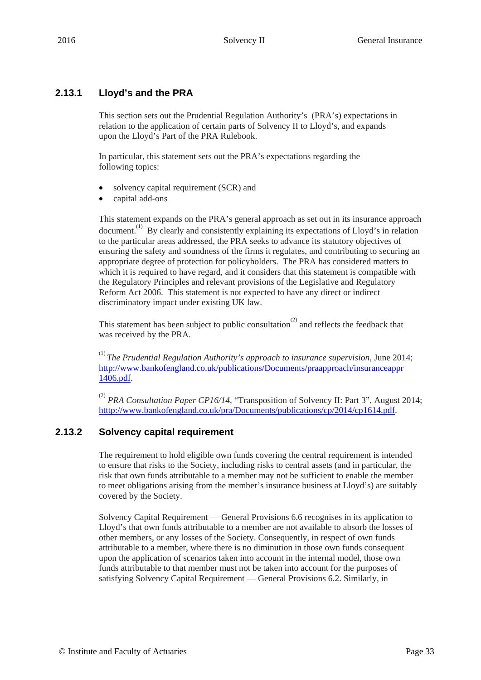# **2.13.1 Lloyd's and the PRA**

This section sets out the Prudential Regulation Authority's (PRA's) expectations in relation to the application of certain parts of Solvency II to Lloyd's, and expands upon the Lloyd's Part of the PRA Rulebook.

In particular, this statement sets out the PRA's expectations regarding the following topics:

- solvency capital requirement (SCR) and
- capital add-ons

This statement expands on the PRA's general approach as set out in its insurance approach document.<sup>(1)</sup> By clearly and consistently explaining its expectations of Lloyd's in relation to the particular areas addressed, the PRA seeks to advance its statutory objectives of ensuring the safety and soundness of the firms it regulates, and contributing to securing an appropriate degree of protection for policyholders. The PRA has considered matters to which it is required to have regard, and it considers that this statement is compatible with the Regulatory Principles and relevant provisions of the Legislative and Regulatory Reform Act 2006. This statement is not expected to have any direct or indirect discriminatory impact under existing UK law.

This statement has been subject to public consultation<sup>(2)</sup> and reflects the feedback that was received by the PRA.

(1) *The Prudential Regulation Authority's approach to insurance supervision*, June 2014; http://www.bankofengland.co.uk/publications/Documents/praapproach/insuranceappr 1406.pdf.

<sup>(2)</sup> *PRA Consultation Paper CP16/14*, "Transposition of Solvency II: Part 3", August 2014; htttp://www.bankofengland.co.uk/pra/Documents/publications/cp/2014/cp1614.pdf.

# **2.13.2 Solvency capital requirement**

The requirement to hold eligible own funds covering the central requirement is intended to ensure that risks to the Society, including risks to central assets (and in particular, the risk that own funds attributable to a member may not be sufficient to enable the member to meet obligations arising from the member's insurance business at Lloyd's) are suitably covered by the Society.

Solvency Capital Requirement — General Provisions 6.6 recognises in its application to Lloyd's that own funds attributable to a member are not available to absorb the losses of other members, or any losses of the Society. Consequently, in respect of own funds attributable to a member, where there is no diminution in those own funds consequent upon the application of scenarios taken into account in the internal model, those own funds attributable to that member must not be taken into account for the purposes of satisfying Solvency Capital Requirement — General Provisions 6.2. Similarly, in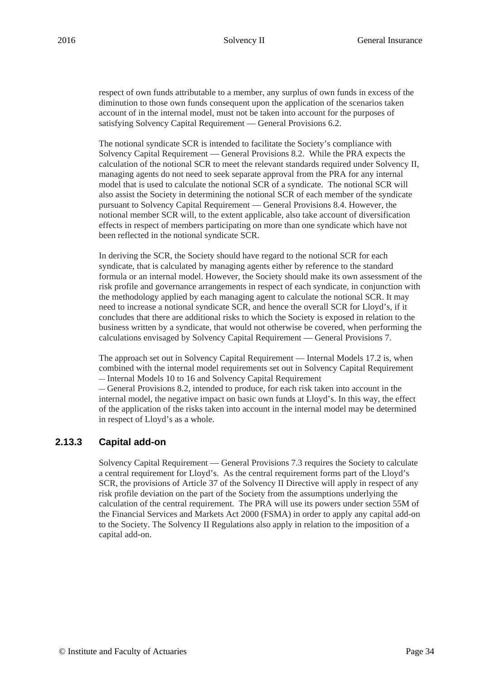respect of own funds attributable to a member, any surplus of own funds in excess of the diminution to those own funds consequent upon the application of the scenarios taken account of in the internal model, must not be taken into account for the purposes of satisfying Solvency Capital Requirement — General Provisions 6.2.

The notional syndicate SCR is intended to facilitate the Society's compliance with Solvency Capital Requirement — General Provisions 8.2. While the PRA expects the calculation of the notional SCR to meet the relevant standards required under Solvency II, managing agents do not need to seek separate approval from the PRA for any internal model that is used to calculate the notional SCR of a syndicate. The notional SCR will also assist the Society in determining the notional SCR of each member of the syndicate pursuant to Solvency Capital Requirement — General Provisions 8.4. However, the notional member SCR will, to the extent applicable, also take account of diversification effects in respect of members participating on more than one syndicate which have not been reflected in the notional syndicate SCR.

In deriving the SCR, the Society should have regard to the notional SCR for each syndicate, that is calculated by managing agents either by reference to the standard formula or an internal model. However, the Society should make its own assessment of the risk profile and governance arrangements in respect of each syndicate, in conjunction with the methodology applied by each managing agent to calculate the notional SCR. It may need to increase a notional syndicate SCR, and hence the overall SCR for Lloyd's, if it concludes that there are additional risks to which the Society is exposed in relation to the business written by a syndicate, that would not otherwise be covered, when performing the calculations envisaged by Solvency Capital Requirement — General Provisions 7.

The approach set out in Solvency Capital Requirement — Internal Models 17.2 is, when combined with the internal model requirements set out in Solvency Capital Requirement — Internal Models 10 to 16 and Solvency Capital Requirement

— General Provisions 8.2, intended to produce, for each risk taken into account in the internal model, the negative impact on basic own funds at Lloyd's. In this way, the effect of the application of the risks taken into account in the internal model may be determined in respect of Lloyd's as a whole.

#### **2.13.3 Capital add-on**

Solvency Capital Requirement — General Provisions 7.3 requires the Society to calculate a central requirement for Lloyd's. As the central requirement forms part of the Lloyd's SCR, the provisions of Article 37 of the Solvency II Directive will apply in respect of any risk profile deviation on the part of the Society from the assumptions underlying the calculation of the central requirement. The PRA will use its powers under section 55M of the Financial Services and Markets Act 2000 (FSMA) in order to apply any capital add-on to the Society. The Solvency II Regulations also apply in relation to the imposition of a capital add-on.